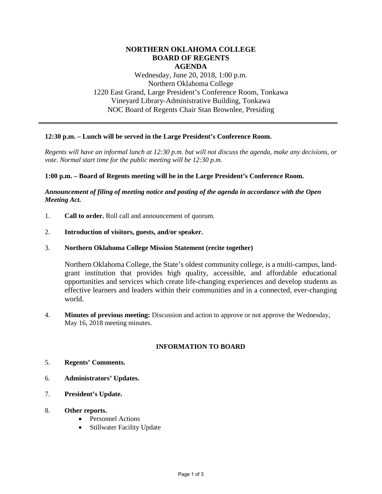## **NORTHERN OKLAHOMA COLLEGE BOARD OF REGENTS AGENDA**

Wednesday, June 20, 2018, 1:00 p.m. Northern Oklahoma College 1220 East Grand, Large President's Conference Room, Tonkawa Vineyard Library-Administrative Building, Tonkawa NOC Board of Regents Chair Stan Brownlee, Presiding

### **12:30 p.m. – Lunch will be served in the Large President's Conference Room.**

*Regents will have an informal lunch at 12:30 p.m. but will not discuss the agenda, make any decisions, or vote. Normal start time for the public meeting will be 12:30 p.m.* 

### **1:00 p.m. – Board of Regents meeting will be in the Large President's Conference Room.**

## *Announcement of filing of meeting notice and posting of the agenda in accordance with the Open Meeting Act.*

- 1. **Call to order.** Roll call and announcement of quorum.
- 2. **Introduction of visitors, guests, and/or speaker.**
- 3. **Northern Oklahoma College Mission Statement (recite together)**

Northern Oklahoma College, the State's oldest community college, is a multi-campus, landgrant institution that provides high quality, accessible, and affordable educational opportunities and services which create life-changing experiences and develop students as effective learners and leaders within their communities and in a connected, ever-changing world.

4. **Minutes of previous meeting:** Discussion and action to approve or not approve the Wednesday, May 16, 2018 meeting minutes.

# **INFORMATION TO BOARD**

- 5. **Regents' Comments.**
- 6. **Administrators' Updates.**
- 7. **President's Update.**
- 8. **Other reports.**
	- Personnel Actions
	- Stillwater Facility Update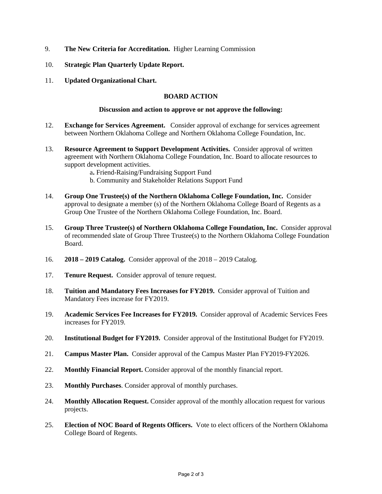- 9. **The New Criteria for Accreditation.** Higher Learning Commission
- 10. **Strategic Plan Quarterly Update Report.**
- 11. **Updated Organizational Chart.**

### **BOARD ACTION**

#### **Discussion and action to approve or not approve the following:**

- 12. **Exchange for Services Agreement.** Consider approval of exchange for services agreement between Northern Oklahoma College and Northern Oklahoma College Foundation, Inc.
- 13. **Resource Agreement to Support Development Activities.** Consider approval of written agreement with Northern Oklahoma College Foundation, Inc. Board to allocate resources to support development activities.
	- a**.** Friend-Raising/Fundraising Support Fund
	- b. Community and Stakeholder Relations Support Fund
- 14. **Group One Trustee(s) of the Northern Oklahoma College Foundation, Inc.** Consider approval to designate a member (s) of the Northern Oklahoma College Board of Regents as a Group One Trustee of the Northern Oklahoma College Foundation, Inc. Board.
- 15. **Group Three Trustee(s) of Northern Oklahoma College Foundation, Inc.** Consider approval of recommended slate of Group Three Trustee(s) to the Northern Oklahoma College Foundation Board.
- 16. **2018 2019 Catalog.** Consider approval of the 2018 2019 Catalog.
- 17. **Tenure Request.** Consider approval of tenure request.
- 18. **Tuition and Mandatory Fees Increases for FY2019.** Consider approval of Tuition and Mandatory Fees increase for FY2019.
- 19. **Academic Services Fee Increases for FY2019.** Consider approval of Academic Services Fees increases for FY2019.
- 20. **Institutional Budget for FY2019.** Consider approval of the Institutional Budget for FY2019.
- 21. **Campus Master Plan.** Consider approval of the Campus Master Plan FY2019-FY2026.
- 22. **Monthly Financial Report.** Consider approval of the monthly financial report.
- 23. **Monthly Purchases**. Consider approval of monthly purchases.
- 24. **Monthly Allocation Request.** Consider approval of the monthly allocation request for various projects.
- 25. **Election of NOC Board of Regents Officers.** Vote to elect officers of the Northern Oklahoma College Board of Regents.